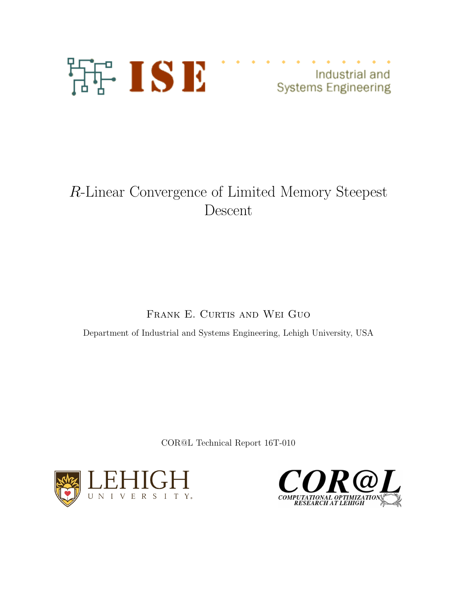

Industrial and **Systems Engineering** 

# R-Linear Convergence of Limited Memory Steepest Descent

FRANK E. CURTIS AND WEI GUO

Department of Industrial and Systems Engineering, Lehigh University, USA

COR@L Technical Report 16T-010



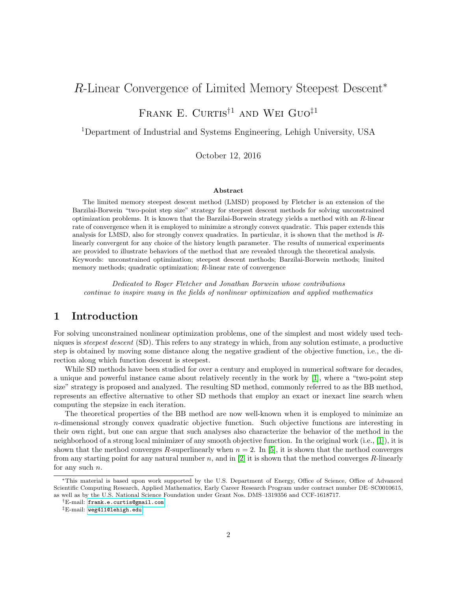## R-Linear Convergence of Limited Memory Steepest Descent<sup>∗</sup>

FRANK E. CURTIS<sup>†1</sup> AND WEI GUO<sup>‡1</sup>

<sup>1</sup>Department of Industrial and Systems Engineering, Lehigh University, USA

October 12, 2016

#### Abstract

The limited memory steepest descent method (LMSD) proposed by Fletcher is an extension of the Barzilai-Borwein "two-point step size" strategy for steepest descent methods for solving unconstrained optimization problems. It is known that the Barzilai-Borwein strategy yields a method with an R-linear rate of convergence when it is employed to minimize a strongly convex quadratic. This paper extends this analysis for LMSD, also for strongly convex quadratics. In particular, it is shown that the method is Rlinearly convergent for any choice of the history length parameter. The results of numerical experiments are provided to illustrate behaviors of the method that are revealed through the theoretical analysis. Keywords: unconstrained optimization; steepest descent methods; Barzilai-Borwein methods; limited memory methods; quadratic optimization; R-linear rate of convergence

Dedicated to Roger Fletcher and Jonathan Borwein whose contributions continue to inspire many in the fields of nonlinear optimization and applied mathematics

## 1 Introduction

For solving unconstrained nonlinear optimization problems, one of the simplest and most widely used techniques is *steepest descent* (SD). This refers to any strategy in which, from any solution estimate, a productive step is obtained by moving some distance along the negative gradient of the objective function, i.e., the direction along which function descent is steepest.

While SD methods have been studied for over a century and employed in numerical software for decades, a unique and powerful instance came about relatively recently in the work by [\[1\]](#page-17-0), where a "two-point step size" strategy is proposed and analyzed. The resulting SD method, commonly referred to as the BB method, represents an effective alternative to other SD methods that employ an exact or inexact line search when computing the stepsize in each iteration.

The theoretical properties of the BB method are now well-known when it is employed to minimize an n-dimensional strongly convex quadratic objective function. Such objective functions are interesting in their own right, but one can argue that such analyses also characterize the behavior of the method in the neighborhood of a strong local minimizer of any smooth objective function. In the original work (i.e., [\[1\]](#page-17-0)), it is shown that the method converges R-superlinearly when  $n = 2$ . In [\[5\]](#page-17-1), it is shown that the method converges from any starting point for any natural number n, and in [\[2\]](#page-17-2) it is shown that the method converges R-linearly for any such  $n$ .

<sup>∗</sup>This material is based upon work supported by the U.S. Department of Energy, Office of Science, Office of Advanced Scientific Computing Research, Applied Mathematics, Early Career Research Program under contract number DE–SC0010615, as well as by the U.S. National Science Foundation under Grant Nos. DMS–1319356 and CCF-1618717.

<sup>†</sup>E-mail: [frank.e.curtis@gmail.com](mailto:frank.e.curtis@gmail.com)

<sup>‡</sup>E-mail: [weg411@lehigh.edu](mailto:weg411@lehigh.edu)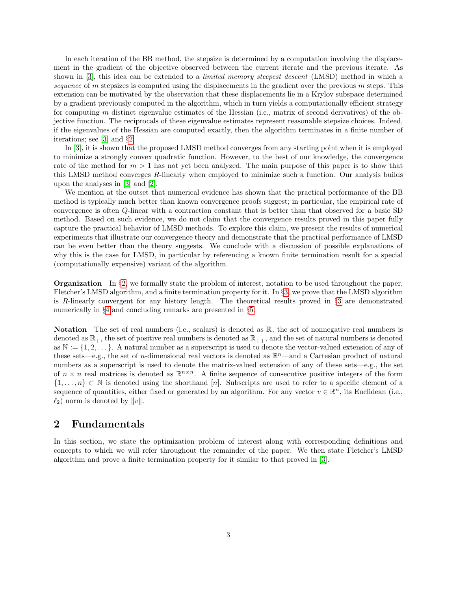In each iteration of the BB method, the stepsize is determined by a computation involving the displacement in the gradient of the objective observed between the current iterate and the previous iterate. As shown in [\[3\]](#page-17-3), this idea can be extended to a *limited memory steepest descent* (LMSD) method in which a sequence of m stepsizes is computed using the displacements in the gradient over the previous  $m$  steps. This extension can be motivated by the observation that these displacements lie in a Krylov subspace determined by a gradient previously computed in the algorithm, which in turn yields a computationally efficient strategy for computing m distinct eigenvalue estimates of the Hessian (i.e., matrix of second derivatives) of the objective function. The reciprocals of these eigenvalue estimates represent reasonable stepsize choices. Indeed, if the eigenvalues of the Hessian are computed exactly, then the algorithm terminates in a finite number of iterations; see [\[3\]](#page-17-3) and §[2.](#page-2-0)

In [\[3\]](#page-17-3), it is shown that the proposed LMSD method converges from any starting point when it is employed to minimize a strongly convex quadratic function. However, to the best of our knowledge, the convergence rate of the method for  $m > 1$  has not yet been analyzed. The main purpose of this paper is to show that this LMSD method converges R-linearly when employed to minimize such a function. Our analysis builds upon the analyses in [\[3\]](#page-17-3) and [\[2\]](#page-17-2).

We mention at the outset that numerical evidence has shown that the practical performance of the BB method is typically much better than known convergence proofs suggest; in particular, the empirical rate of convergence is often Q-linear with a contraction constant that is better than that observed for a basic SD method. Based on such evidence, we do not claim that the convergence results proved in this paper fully capture the practical behavior of LMSD methods. To explore this claim, we present the results of numerical experiments that illustrate our convergence theory and demonstrate that the practical performance of LMSD can be even better than the theory suggests. We conclude with a discussion of possible explanations of why this is the case for LMSD, in particular by referencing a known finite termination result for a special (computationally expensive) variant of the algorithm.

**Organization** In  $\S$ [2,](#page-2-0) we formally state the problem of interest, notation to be used throughout the paper, Fletcher's LMSD algorithm, and a finite termination property for it. In §[3,](#page-6-0) we prove that the LMSD algorithm is R-linearly convergent for any history length. The theoretical results proved in  $\S$  are demonstrated numerically in §[4](#page-13-0) and concluding remarks are presented in §[5.](#page-17-4)

Notation The set of real numbers (i.e., scalars) is denoted as  $\mathbb{R}$ , the set of nonnegative real numbers is denoted as  $\mathbb{R}_+$ , the set of positive real numbers is denoted as  $\mathbb{R}_{++}$ , and the set of natural numbers is denoted as  $\mathbb{N} := \{1, 2, \ldots\}$ . A natural number as a superscript is used to denote the vector-valued extension of any of these sets—e.g., the set of *n*-dimensional real vectors is denoted as  $\mathbb{R}^n$ —and a Cartesian product of natural numbers as a superscript is used to denote the matrix-valued extension of any of these sets—e.g., the set of  $n \times n$  real matrices is denoted as  $\mathbb{R}^{n \times n}$ . A finite sequence of consecutive positive integers of the form  $\{1,\ldots,n\}\subset\mathbb{N}$  is denoted using the shorthand [n]. Subscripts are used to refer to a specific element of a sequence of quantities, either fixed or generated by an algorithm. For any vector  $v \in \mathbb{R}^n$ , its Euclidean (i.e.,  $\ell_2$ ) norm is denoted by  $||v||$ .

## <span id="page-2-0"></span>2 Fundamentals

In this section, we state the optimization problem of interest along with corresponding definitions and concepts to which we will refer throughout the remainder of the paper. We then state Fletcher's LMSD algorithm and prove a finite termination property for it similar to that proved in [\[3\]](#page-17-3).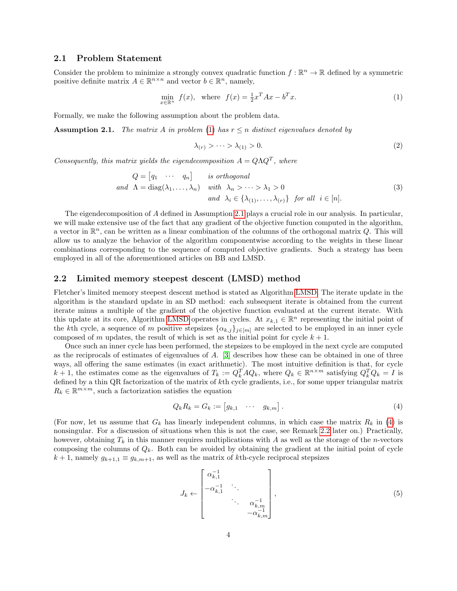#### 2.1 Problem Statement

Consider the problem to minimize a strongly convex quadratic function  $f : \mathbb{R}^n \to \mathbb{R}$  defined by a symmetric positive definite matrix  $A \in \mathbb{R}^{n \times n}$  and vector  $b \in \mathbb{R}^n$ , namely,

$$
\min_{x \in \mathbb{R}^n} f(x), \text{ where } f(x) = \frac{1}{2}x^T A x - b^T x. \tag{1}
$$

Formally, we make the following assumption about the problem data.

<span id="page-3-1"></span>**Assumption 2.1.** The matrix A in problem [\(1\)](#page-3-0) has  $r \leq n$  distinct eigenvalues denoted by

<span id="page-3-4"></span><span id="page-3-0"></span>
$$
\lambda_{(r)} > \cdots > \lambda_{(1)} > 0. \tag{2}
$$

Consequently, this matrix yields the eigendecomposition  $A = Q\Lambda Q^T$ , where

$$
Q = [q_1 \cdots q_n] \quad is orthogonal
$$
  
and  $\Lambda = \text{diag}(\lambda_1, ..., \lambda_n)$  with  $\lambda_n > ... > \lambda_1 > 0$   
and  $\lambda_i \in \{\lambda_{(1)}, ..., \lambda_{(r)}\}$  for all  $i \in [n]$ . (3)

The eigendecomposition of A defined in Assumption [2.1](#page-3-1) plays a crucial role in our analysis. In particular, we will make extensive use of the fact that any gradient of the objective function computed in the algorithm, a vector in  $\mathbb{R}^n$ , can be written as a linear combination of the columns of the orthogonal matrix Q. This will allow us to analyze the behavior of the algorithm componentwise according to the weights in these linear combinations corresponding to the sequence of computed objective gradients. Such a strategy has been employed in all of the aforementioned articles on BB and LMSD.

#### 2.2 Limited memory steepest descent (LMSD) method

Fletcher's limited memory steepest descent method is stated as Algorithm [LMSD.](#page-4-0) The iterate update in the algorithm is the standard update in an SD method: each subsequent iterate is obtained from the current iterate minus a multiple of the gradient of the objective function evaluated at the current iterate. With this update at its core, Algorithm [LMSD](#page-4-0) operates in cycles. At  $x_{k,1} \in \mathbb{R}^n$  representing the initial point of the kth cycle, a sequence of m positive stepsizes  $\{\alpha_{k,j}\}_{j\in[m]}$  are selected to be employed in an inner cycle composed of m updates, the result of which is set as the initial point for cycle  $k + 1$ .

Once such an inner cycle has been performed, the stepsizes to be employed in the next cycle are computed as the reciprocals of estimates of eigenvalues of A. [\[3\]](#page-17-3) describes how these can be obtained in one of three ways, all offering the same estimates (in exact arithmetic). The most intuitive definition is that, for cycle  $k+1$ , the estimates come as the eigenvalues of  $T_k := Q_k^T A Q_k$ , where  $Q_k \in \mathbb{R}^{n \times m}$  satisfying  $Q_k^T Q_k = I$  is defined by a thin QR factorization of the matrix of kth cycle gradients, i.e., for some upper triangular matrix  $R_k \in \mathbb{R}^{m \times m}$ , such a factorization satisfies the equation

<span id="page-3-2"></span>
$$
Q_k R_k = G_k := \begin{bmatrix} g_{k,1} & \cdots & g_{k,m} \end{bmatrix} . \tag{4}
$$

(For now, let us assume that  $G_k$  has linearly independent columns, in which case the matrix  $R_k$  in [\(4\)](#page-3-2) is nonsingular. For a discussion of situations when this is not the case, see Remark [2.2](#page-4-1) later on.) Practically, however, obtaining  $T_k$  in this manner requires multiplications with A as well as the storage of the n-vectors composing the columns of  $Q_k$ . Both can be avoided by obtaining the gradient at the initial point of cycle  $k + 1$ , namely  $g_{k+1,1} \equiv g_{k,m+1}$ , as well as the matrix of kth-cycle reciprocal stepsizes

<span id="page-3-3"></span>
$$
J_k \leftarrow \begin{bmatrix} \alpha_{k,1}^{-1} & & & \\ -\alpha_{k,1}^{-1} & \ddots & & \\ & \ddots & \alpha_{k,m}^{-1} \\ & & -\alpha_{k,m}^{-1} \end{bmatrix},
$$
 (5)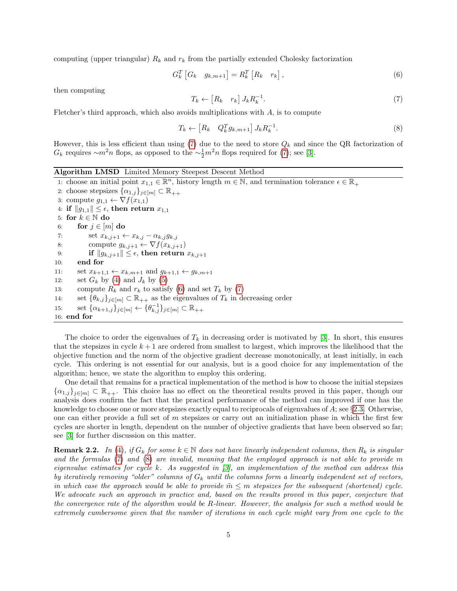computing (upper triangular)  $R_k$  and  $r_k$  from the partially extended Cholesky factorization

$$
G_k^T \begin{bmatrix} G_k & g_{k,m+1} \end{bmatrix} = R_k^T \begin{bmatrix} R_k & r_k \end{bmatrix}, \tag{6}
$$

<span id="page-4-2"></span>then computing

<span id="page-4-4"></span><span id="page-4-3"></span>
$$
T_k \leftarrow \begin{bmatrix} R_k & r_k \end{bmatrix} J_k R_k^{-1}.\tag{7}
$$

Fletcher's third approach, which also avoids multiplications with  $A$ , is to compute

$$
T_k \leftarrow \begin{bmatrix} R_k & Q_k^T g_{k,m+1} \end{bmatrix} J_k R_k^{-1}.
$$
\n
$$
(8)
$$

However, this is less efficient than using [\(7\)](#page-4-2) due to the need to store  $Q_k$  and since the QR factorization of  $G_k$  requires  $\sim m^2n$  flops, as opposed to the  $\sim \frac{1}{2}m^2n$  flops required for [\(7\)](#page-4-2); see [\[3\]](#page-17-3).

Algorithm LMSD Limited Memory Steepest Descent Method

<span id="page-4-0"></span>1: choose an initial point  $x_{1,1} \in \mathbb{R}^n$ , history length  $m \in \mathbb{N}$ , and termination tolerance  $\epsilon \in \mathbb{R}_+$ 2: choose stepsizes  $\{\alpha_{1,j}\}_{j\in[m]} \subset \mathbb{R}_{++}$ 3: compute  $g_{1,1} \leftarrow \nabla f(x_{1,1})$ 4: if  $||g_{1,1}|| \leq \epsilon$ , then return  $x_{1,1}$ 5: for  $k \in \mathbb{N}$  do 6: for  $j \in [m]$  do 7: set  $x_{k,j+1} \leftarrow x_{k,j} - \alpha_{k,j} g_{k,j}$ 8: compute  $g_{k,j+1} \leftarrow \nabla f(x_{k,j+1})$ 9: if  $||g_{k,j+1}|| \leq \epsilon$ , then return  $x_{k,j+1}$ 10: end for 11: set  $x_{k+1,1} \leftarrow x_{k,m+1}$  and  $g_{k+1,1} \leftarrow g_{k,m+1}$ 12: set  $G_k$  by [\(4\)](#page-3-2) and  $J_k$  by [\(5\)](#page-3-3) 13: compute  $R_k$  and  $r_k$  to satisfy [\(6\)](#page-4-3) and set  $T_k$  by [\(7\)](#page-4-2) 14: set  $\{\theta_{k,j}\}_{j\in[m]}\subset\mathbb{R}_{++}$  as the eigenvalues of  $T_k$  in decreasing order 15: set  $\{\alpha_{k+1,j}\}_{j\in[m]} \leftarrow {\{\theta_{k,j}^{-1}\}_{j\in[m]}} \subset \mathbb{R}_{++}$ 16: end for

The choice to order the eigenvalues of  $T_k$  in decreasing order is motivated by [\[3\]](#page-17-3). In short, this ensures that the stepsizes in cycle  $k+1$  are ordered from smallest to largest, which improves the likelihood that the objective function and the norm of the objective gradient decrease monotonically, at least initially, in each cycle. This ordering is not essential for our analysis, but is a good choice for any implementation of the algorithm; hence, we state the algorithm to employ this ordering.

One detail that remains for a practical implementation of the method is how to choose the initial stepsizes  ${\{\alpha_{1,j}\}}_{j\in[m]} \subset \mathbb{R}_{++}$ . This choice has no effect on the theoretical results proved in this paper, though our analysis does confirm the fact that the practical performance of the method can improved if one has the knowledge to choose one or more stepsizes exactly equal to reciprocals of eigenvalues of A; see §[2.3.](#page-5-0) Otherwise, one can either provide a full set of  $m$  stepsizes or carry out an initialization phase in which the first few cycles are shorter in length, dependent on the number of objective gradients that have been observed so far; see [\[3\]](#page-17-3) for further discussion on this matter.

<span id="page-4-1"></span>**Remark 2.2.** In [\(4\)](#page-3-2), if  $G_k$  for some  $k \in \mathbb{N}$  does not have linearly independent columns, then  $R_k$  is singular and the formulas [\(7\)](#page-4-2) and [\(8\)](#page-4-4) are invalid, meaning that the employed approach is not able to provide m eigenvalue estimates for cycle k. As suggested in  $\beta$ , an implementation of the method can address this by iteratively removing "older" columns of  $G_k$  until the columns form a linearly independent set of vectors, in which case the approach would be able to provide  $\tilde{m} \leq m$  stepsizes for the subsequent (shortened) cycle. We advocate such an approach in practice and, based on the results proved in this paper, conjecture that the convergence rate of the algorithm would be R-linear. However, the analysis for such a method would be extremely cumbersome given that the number of iterations in each cycle might vary from one cycle to the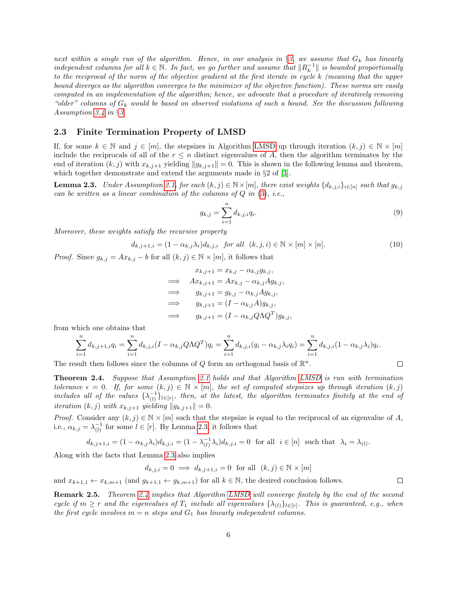next within a single run of the algorithm. Hence, in our analysis in  $\S 3$ , we assume that  $G_k$  has linearly independent columns for all  $k \in \mathbb{N}$ . In fact, we go further and assume that  $||R_k^{-1}||$  is bounded proportionally to the reciprocal of the norm of the objective gradient at the first iterate in cycle k (meaning that the upper bound diverges as the algorithm converges to the minimizer of the objective function). These norms are easily computed in an implementation of the algorithm; hence, we advocate that a procedure of iteratively removing "older" columns of  $G_k$  would be based on observed violations of such a bound. See the discussion following Assumption [3.4](#page-6-1) in §[3.](#page-6-0)

#### <span id="page-5-0"></span>2.3 Finite Termination Property of LMSD

If, for some  $k \in \mathbb{N}$  and  $j \in [m]$ , the stepsizes in Algorithm [LMSD](#page-4-0) up through iteration  $(k, j) \in \mathbb{N} \times [m]$ include the reciprocals of all of the  $r \leq n$  distinct eigenvalues of A, then the algorithm terminates by the end of iteration  $(k, j)$  with  $x_{k,j+1}$  yielding  $||g_{k,j+1}|| = 0$ . This is shown in the following lemma and theorem, which together demonstrate and extend the arguments made in  $\S 2$  of [\[3\]](#page-17-3).

<span id="page-5-1"></span>**Lemma 2.3.** Under Assumption [2.1,](#page-3-1) for each  $(k, j) \in \mathbb{N} \times [m]$ , there exist weights  $\{d_{k,j,i}\}_{i \in [n]}$  such that  $g_{k,j}$ can be written as a linear combination of the columns of  $Q$  in  $(3)$ , i.e.,

<span id="page-5-4"></span><span id="page-5-3"></span>
$$
g_{k,j} = \sum_{i=1}^{n} d_{k,j,i} q_i.
$$
 (9)

 $\Box$ 

 $\Box$ 

Moreover, these weights satisfy the recursive property

$$
d_{k,j+1,i} = (1 - \alpha_{k,j}\lambda_i)d_{k,j,i} \quad \text{for all} \quad (k,j,i) \in \mathbb{N} \times [m] \times [n]. \tag{10}
$$

*Proof.* Since  $g_{k,j} = Ax_{k,j} - b$  for all  $(k, j) \in \mathbb{N} \times [m]$ , it follows that

$$
x_{k,j+1} = x_{k,j} - \alpha_{k,j} g_{k,j},
$$
  
\n
$$
\implies Ax_{k,j+1} = Ax_{k,j} - \alpha_{k,j} Ag_{k,j},
$$
  
\n
$$
\implies g_{k,j+1} = g_{k,j} - \alpha_{k,j} Ag_{k,j},
$$
  
\n
$$
\implies g_{k,j+1} = (I - \alpha_{k,j} A) g_{k,j},
$$
  
\n
$$
\implies g_{k,j+1} = (I - \alpha_{k,j} Q \Lambda Q^T) g_{k,j},
$$

from which one obtains that

$$
\sum_{i=1}^{n} d_{k,j+1,i} q_i = \sum_{i=1}^{n} d_{k,j,i} (I - \alpha_{k,j} Q \Lambda Q^T) q_i = \sum_{i=1}^{n} d_{k,j,i} (q_i - \alpha_{k,j} \lambda_i q_i) = \sum_{i=1}^{n} d_{k,j,i} (1 - \alpha_{k,j} \lambda_i) q_i.
$$

The result then follows since the columns of Q form an orthogonal basis of  $\mathbb{R}^n$ .

<span id="page-5-2"></span>Theorem 2.4. Suppose that Assumption [2.1](#page-3-1) holds and that Algorithm [LMSD](#page-4-0) is run with termination tolerance  $\epsilon = 0$ . If, for some  $(k, j) \in \mathbb{N} \times [m]$ , the set of computed stepsizes up through iteration  $(k, j)$ includes all of the values  $\{\lambda_{(l)}^{-1}\}_{l\in [r]},$  then, at the latest, the algorithm terminates finitely at the end of iteration  $(k, j)$  with  $x_{k,j+1}$  yielding  $||g_{k,j+1}|| = 0$ .

*Proof.* Consider any  $(k, j) \in \mathbb{N} \times [m]$  such that the stepsize is equal to the reciprocal of an eigenvalue of A, i.e.,  $\alpha_{k,j} = \lambda_{(l)}^{-1}$  for some  $l \in [r]$ . By Lemma [2.3,](#page-5-1) it follows that

$$
d_{k,j+1,i} = (1 - \alpha_{k,j}\lambda_i)d_{k,j,i} = (1 - \lambda_{(l)}^{-1}\lambda_i)d_{k,j,i} = 0 \text{ for all } i \in [n] \text{ such that } \lambda_i = \lambda_{(l)}.
$$

Along with the facts that Lemma [2.3](#page-5-1) also implies

$$
d_{k,j,i} = 0 \implies d_{k,j+1,i} = 0 \text{ for all } (k,j) \in \mathbb{N} \times [m]
$$

and  $x_{k+1,1} \leftarrow x_{k,m+1}$  (and  $g_{k+1,1} \leftarrow g_{k,m+1}$ ) for all  $k \in \mathbb{N}$ , the desired conclusion follows.

Remark 2.5. Theorem [2.4](#page-5-2) implies that Algorithm [LMSD](#page-4-0) will converge finitely by the end of the second cycle if  $m \geq r$  and the eigenvalues of  $T_1$  include all eigenvalues  $\{\lambda_{(l)}\}_{l \in [r]}$ . This is guaranteed, e.g., when the first cycle involves  $m = n$  steps and  $G_1$  has linearly independent columns.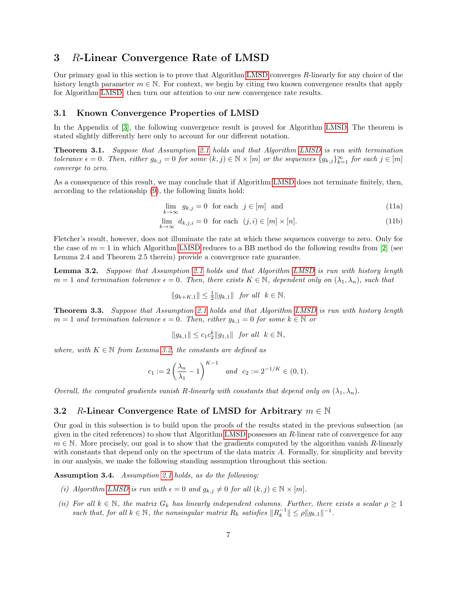## <span id="page-6-0"></span>3 R-Linear Convergence Rate of LMSD

Our primary goal in this section is to prove that Algorithm [LMSD](#page-4-0) converges R-linearly for any choice of the history length parameter  $m \in \mathbb{N}$ . For context, we begin by citing two known convergence results that apply for Algorithm [LMSD,](#page-4-0) then turn our attention to our new convergence rate results.

### 3.1 Known Convergence Properties of LMSD

In the Appendix of [\[3\]](#page-17-3), the following convergence result is proved for Algorithm [LMSD.](#page-4-0) The theorem is stated slightly differently here only to account for our different notation.

Theorem 3.1. Suppose that Assumption [2.1](#page-3-1) holds and that Algorithm [LMSD](#page-4-0) is run with termination tolerance  $\epsilon = 0$ . Then, either  $g_{k,j} = 0$  for some  $(k, j) \in \mathbb{N} \times [m]$  or the sequences  $\{g_{k,j}\}_{k=1}^{\infty}$  for each  $j \in [m]$ converge to zero.

As a consequence of this result, we may conclude that if Algorithm [LMSD](#page-4-0) does not terminate finitely, then, according to the relationship [\(9\)](#page-5-3), the following limits hold:

<span id="page-6-3"></span>
$$
\lim_{k \to \infty} g_{k,j} = 0 \quad \text{for each} \quad j \in [m] \quad \text{and} \tag{11a}
$$

$$
\lim_{k \to \infty} d_{k,j,i} = 0 \quad \text{for each} \quad (j,i) \in [m] \times [n]. \tag{11b}
$$

Fletcher's result, however, does not illuminate the rate at which these sequences converge to zero. Only for the case of  $m = 1$  in which Algorithm [LMSD](#page-4-0) reduces to a BB method do the following results from [\[2\]](#page-17-2) (see Lemma 2.4 and Theorem 2.5 therein) provide a convergence rate guarantee.

<span id="page-6-2"></span>Lemma 3.2. Suppose that Assumption [2.1](#page-3-1) holds and that Algorithm [LMSD](#page-4-0) is run with history length  $m = 1$  and termination tolerance  $\epsilon = 0$ . Then, there exists  $K \in \mathbb{N}$ , dependent only on  $(\lambda_1, \lambda_n)$ , such that

$$
||g_{k+K,1}|| \leq \frac{1}{2}||g_{k,1}||
$$
 for all  $k \in \mathbb{N}$ .

<span id="page-6-4"></span>**Theorem 3.3.** Suppose that Assumption [2.1](#page-3-1) holds and that Algorithm [LMSD](#page-4-0) is run with history length  $m = 1$  and termination tolerance  $\epsilon = 0$ . Then, either  $g_{k,1} = 0$  for some  $k \in \mathbb{N}$  or

$$
||g_{k,1}|| \leq c_1 c_2^k ||g_{1,1}||
$$
 for all  $k \in \mathbb{N}$ ,

where, with  $K \in \mathbb{N}$  from Lemma [3.2,](#page-6-2) the constants are defined as

$$
c_1 := 2\left(\frac{\lambda_n}{\lambda_1} - 1\right)^{K-1}
$$
 and  $c_2 := 2^{-1/K} \in (0, 1).$ 

Overall, the computed gradients vanish R-linearly with constants that depend only on  $(\lambda_1, \lambda_n)$ .

#### 3.2 R-Linear Convergence Rate of LMSD for Arbitrary  $m \in \mathbb{N}$

Our goal in this subsection is to build upon the proofs of the results stated in the previous subsection (as given in the cited references) to show that Algorithm [LMSD](#page-4-0) possesses an  $R$ -linear rate of convergence for any  $m \in \mathbb{N}$ . More precisely, our goal is to show that the gradients computed by the algorithm vanish R-linearly with constants that depend only on the spectrum of the data matrix A. Formally, for simplicity and brevity in our analysis, we make the following standing assumption throughout this section.

<span id="page-6-1"></span>Assumption 3.4. Assumption [2.1](#page-3-1) holds, as do the following:

- (i) Algorithm [LMSD](#page-4-0) is run with  $\epsilon = 0$  and  $q_{k,i} \neq 0$  for all  $(k, j) \in \mathbb{N} \times [m]$ .
- (ii) For all  $k \in \mathbb{N}$ , the matrix  $G_k$  has linearly independent columns. Further, there exists a scalar  $\rho \geq 1$ such that, for all  $k \in \mathbb{N}$ , the nonsingular matrix  $R_k$  satisfies  $||R_k^{-1}|| \leq \rho ||g_{k,1}||^{-1}$ .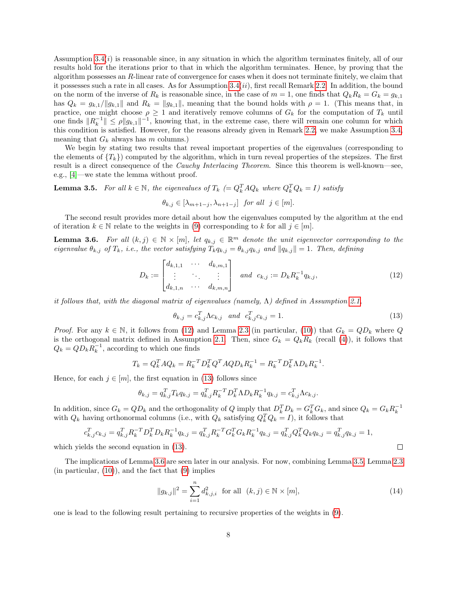Assumption  $3.4(i)$  is reasonable since, in any situation in which the algorithm terminates finitely, all of our results hold for the iterations prior to that in which the algorithm terminates. Hence, by proving that the algorithm possesses an R-linear rate of convergence for cases when it does not terminate finitely, we claim that it possesses such a rate in all cases. As for Assumption  $3.4(ii)$ , first recall Remark [2.2.](#page-4-1) In addition, the bound on the norm of the inverse of  $R_k$  is reasonable since, in the case of  $m = 1$ , one finds that  $Q_k R_k = G_k = g_{k,1}$ has  $Q_k = g_{k,1}/\|g_{k,1}\|$  and  $R_k = \|g_{k,1}\|$ , meaning that the bound holds with  $\rho = 1$ . (This means that, in practice, one might choose  $\rho \geq 1$  and iteratively remove columns of  $G_k$  for the computation of  $T_k$  until one finds  $||R_k^{-1}|| \le \rho ||g_{k,1}||^{-1}$ , knowing that, in the extreme case, there will remain one column for which this condition is satisfied. However, for the reasons already given in Remark [2.2,](#page-4-1) we make Assumption [3.4,](#page-6-1) meaning that  $G_k$  always has m columns.)

We begin by stating two results that reveal important properties of the eigenvalues (corresponding to the elements of  $\{T_k\}$  computed by the algorithm, which in turn reveal properties of the stepsizes. The first result is a direct consequence of the *Cauchy Interlacing Theorem*. Since this theorem is well-known—see, e.g., [\[4\]](#page-17-5)—we state the lemma without proof.

<span id="page-7-3"></span>**Lemma 3.5.** For all  $k \in \mathbb{N}$ , the eigenvalues of  $T_k$  (=  $Q_k^T A Q_k$  where  $Q_k^T Q_k = I$ ) satisfy

$$
\theta_{k,j} \in [\lambda_{m+1-j}, \lambda_{n+1-j}]
$$
 for all  $j \in [m]$ .

The second result provides more detail about how the eigenvalues computed by the algorithm at the end of iteration  $k \in \mathbb{N}$  relate to the weights in [\(9\)](#page-5-3) corresponding to k for all  $j \in [m]$ .

<span id="page-7-2"></span>**Lemma 3.6.** For all  $(k, j) \in \mathbb{N} \times [m]$ , let  $q_{k,j} \in \mathbb{R}^m$  denote the unit eigenvector corresponding to the eigenvalue  $\theta_{k,j}$  of  $T_k$ , i.e., the vector satisfying  $T_k q_{k,j} = \theta_{k,j} q_{k,j}$  and  $||q_{k,j}|| = 1$ . Then, defining

$$
D_k := \begin{bmatrix} d_{k,1,1} & \cdots & d_{k,m,1} \\ \vdots & \ddots & \vdots \\ d_{k,1,n} & \cdots & d_{k,m,n} \end{bmatrix} \text{ and } c_{k,j} := D_k R_k^{-1} q_{k,j}, \qquad (12)
$$

it follows that, with the diagonal matrix of eigenvalues (namely,  $\Lambda$ ) defined in Assumption [2.1,](#page-3-1)

$$
\theta_{k,j} = c_{k,j}^T \Lambda c_{k,j} \quad and \quad c_{k,j}^T c_{k,j} = 1.
$$
\n(13)

*Proof.* For any  $k \in \mathbb{N}$ , it follows from [\(12\)](#page-7-0) and Lemma [2.3](#page-5-1) (in particular, [\(10\)](#page-5-4)) that  $G_k = QD_k$  where Q is the orthogonal matrix defined in Assumption [2.1.](#page-3-1) Then, since  $G_k = Q_k R_k$  (recall [\(4\)](#page-3-2)), it follows that  $Q_k = Q D_k R_k^{-1}$ , according to which one finds

$$
T_k = Q_k^T A Q_k = R_k^{-T} D_k^T Q^T A Q D_k R_k^{-1} = R_k^{-T} D_k^T \Lambda D_k R_k^{-1}.
$$

Hence, for each  $j \in [m]$ , the first equation in [\(13\)](#page-7-1) follows since

$$
\theta_{k,j} = q_{k,j}^T T_k q_{k,j} = q_{k,j}^T R_k^{-T} D_k^T \Lambda D_k R_k^{-1} q_{k,j} = c_{k,j}^T \Lambda c_{k,j}.
$$

In addition, since  $G_k = Q D_k$  and the orthogonality of Q imply that  $D_k^T D_k = G_k^T G_k$ , and since  $Q_k = G_k R_k^{-1}$ with  $Q_k$  having orthonormal columns (i.e., with  $Q_k$  satisfying  $Q_k^T Q_k = I$ ), it follows that

$$
c_{k,j}^T c_{k,j} = q_{k,j}^T R_k^{-T} D_k^T D_k R_k^{-1} q_{k,j} = q_{k,j}^T R_k^{-T} G_k^T G_k R_k^{-1} q_{k,j} = q_{k,j}^T Q_k^T Q_k q_{k,j} = q_{k,j}^T q_{k,j} = 1,
$$

which yields the second equation in [\(13\)](#page-7-1).

The implications of Lemma [3.6](#page-7-2) are seen later in our analysis. For now, combining Lemma [3.5,](#page-7-3) Lemma [2.3](#page-5-1)  $(in$  particular,  $(10)$ , and the fact that  $(9)$  implies

<span id="page-7-4"></span>
$$
||g_{k,j}||^2 = \sum_{i=1}^n d_{k,j,i}^2 \text{ for all } (k,j) \in \mathbb{N} \times [m],
$$
 (14)

<span id="page-7-1"></span><span id="page-7-0"></span> $\Box$ 

one is lead to the following result pertaining to recursive properties of the weights in [\(9\)](#page-5-3).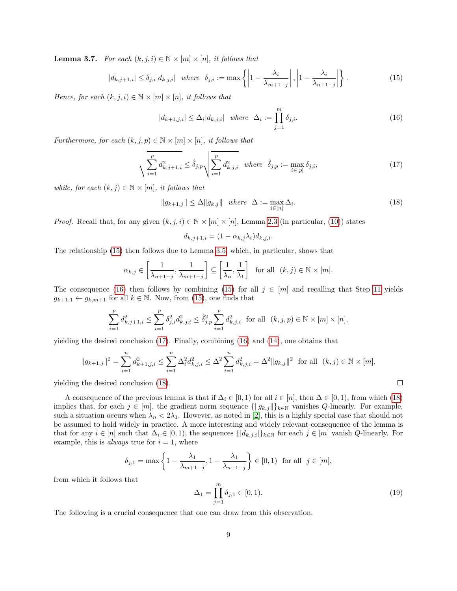<span id="page-8-4"></span>**Lemma 3.7.** For each  $(k, j, i) \in \mathbb{N} \times [m] \times [n]$ , it follows that

$$
|d_{k,j+1,i}| \le \delta_{j,i}|d_{k,j,i}| \quad \text{where} \quad \delta_{j,i} := \max\left\{ \left| 1 - \frac{\lambda_i}{\lambda_{m+1-j}} \right|, \left| 1 - \frac{\lambda_i}{\lambda_{n+1-j}} \right| \right\}. \tag{15}
$$

Hence, for each  $(k, j, i) \in \mathbb{N} \times [m] \times [n]$ , it follows that

<span id="page-8-2"></span><span id="page-8-1"></span><span id="page-8-0"></span>
$$
|d_{k+1,j,i}| \leq \Delta_i |d_{k,j,i}| \quad \text{where} \quad \Delta_i := \prod_{j=1}^m \delta_{j,i}.\tag{16}
$$

Furthermore, for each  $(k, j, p) \in \mathbb{N} \times [m] \times [n]$ , it follows that

$$
\sqrt{\sum_{i=1}^{p} d_{k,j+1,i}^{2}} \leq \hat{\delta}_{j,p} \sqrt{\sum_{i=1}^{p} d_{k,j,i}^{2}} \quad where \quad \hat{\delta}_{j,p} := \max_{i \in [p]} \delta_{j,i}, \tag{17}
$$

while, for each  $(k, j) \in \mathbb{N} \times [m]$ , it follows that

<span id="page-8-3"></span>
$$
||g_{k+1,j}|| \le \Delta ||g_{k,j}|| \quad where \quad \Delta := \max_{i \in [n]} \Delta_i.
$$
 (18)

*Proof.* Recall that, for any given  $(k, j, i) \in \mathbb{N} \times [m] \times [n]$ , Lemma [2.3](#page-5-1) (in particular, [\(10\)](#page-5-4)) states

$$
d_{k,j+1,i} = (1 - \alpha_{k,j} \lambda_i) d_{k,j,i}.
$$

The relationship [\(15\)](#page-8-0) then follows due to Lemma [3.5,](#page-7-3) which, in particular, shows that

$$
\alpha_{k,j} \in \left[\frac{1}{\lambda_{n+1-j}}, \frac{1}{\lambda_{m+1-j}}\right] \subseteq \left[\frac{1}{\lambda_n}, \frac{1}{\lambda_1}\right]
$$
 for all  $(k, j) \in \mathbb{N} \times [m]$ .

The consequence [\(16\)](#page-8-1) then follows by combining [\(15\)](#page-8-0) for all  $j \in [m]$  and recalling that Step [11](#page-4-0) yields  $g_{k+1,1} \leftarrow g_{k,m+1}$  for all  $k \in \mathbb{N}$ . Now, from [\(15\)](#page-8-0), one finds that

$$
\sum_{i=1}^{p} d_{k,j+1,i}^{2} \leq \sum_{i=1}^{p} \delta_{j,i}^{2} d_{k,j,i}^{2} \leq \hat{\delta}_{j,p}^{2} \sum_{i=1}^{p} d_{k,j,i}^{2} \text{ for all } (k,j,p) \in \mathbb{N} \times [m] \times [n],
$$

yielding the desired conclusion [\(17\)](#page-8-2). Finally, combining [\(16\)](#page-8-1) and [\(14\)](#page-7-4), one obtains that

$$
||g_{k+1,j}||^2 = \sum_{i=1}^n d_{k+1,j,i}^2 \le \sum_{i=1}^n \Delta_i^2 d_{k,j,i}^2 \le \Delta^2 \sum_{i=1}^n d_{k,j,i}^2 = \Delta^2 ||g_{k,j}||^2 \text{ for all } (k,j) \in \mathbb{N} \times [m],
$$

yielding the desired conclusion [\(18\)](#page-8-3).

A consequence of the previous lemma is that if  $\Delta_i \in [0,1)$  for all  $i \in [n]$ , then  $\Delta \in [0,1)$ , from which [\(18\)](#page-8-3) implies that, for each  $j \in [m]$ , the gradient norm sequence  $\{\|g_{k,j}\|\}_{k\in\mathbb{N}}$  vanishes Q-linearly. For example, such a situation occurs when  $\lambda_n < 2\lambda_1$ . However, as noted in [\[2\]](#page-17-2), this is a highly special case that should not be assumed to hold widely in practice. A more interesting and widely relevant consequence of the lemma is that for any  $i \in [n]$  such that  $\Delta_i \in [0,1)$ , the sequences  $\{|d_{k,j,i}|\}_{k \in \mathbb{N}}$  for each  $j \in [m]$  vanish  $Q$ -linearly. For example, this is *always* true for  $i = 1$ , where

<span id="page-8-5"></span>
$$
\delta_{j,1} = \max\left\{1 - \frac{\lambda_1}{\lambda_{m+1-j}}, 1 - \frac{\lambda_1}{\lambda_{n+1-j}}\right\} \in [0,1) \text{ for all } j \in [m],
$$

from which it follows that

$$
\Delta_1 = \prod_{j=1}^m \delta_{j,1} \in [0,1). \tag{19}
$$

 $\Box$ 

The following is a crucial consequence that one can draw from this observation.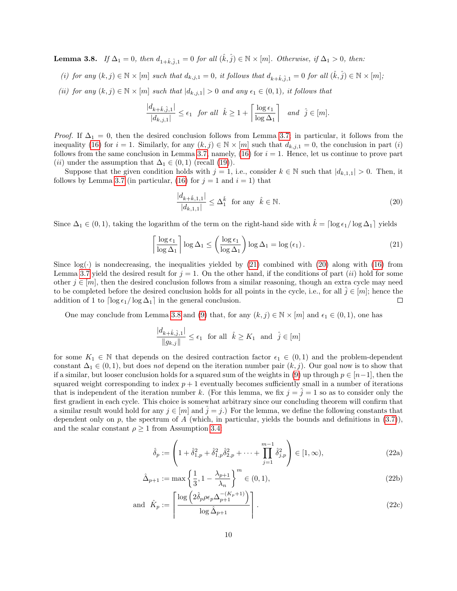<span id="page-9-2"></span>**Lemma 3.8.** If  $\Delta_1 = 0$ , then  $d_{1+\hat{k},\hat{j},1} = 0$  for all  $(\hat{k}, \hat{j}) \in \mathbb{N} \times [m]$ . Otherwise, if  $\Delta_1 > 0$ , then:

- (i) for any  $(k, j) \in \mathbb{N} \times [m]$  such that  $d_{k,j,1} = 0$ , it follows that  $d_{k+\hat{k},\hat{j},1} = 0$  for all  $(\hat{k}, \hat{j}) \in \mathbb{N} \times [m]$ ;
- (ii) for any  $(k, j) \in \mathbb{N} \times [m]$  such that  $|d_{k,j,1}| > 0$  and any  $\epsilon_1 \in (0, 1)$ , it follows that

$$
\frac{|d_{k+\hat{k},\hat{j},1}|}{|d_{k,j,1}|} \le \epsilon_1 \quad \text{for all} \quad \hat{k} \ge 1 + \left\lceil \frac{\log \epsilon_1}{\log \Delta_1} \right\rceil \quad \text{and} \quad \hat{j} \in [m].
$$

*Proof.* If  $\Delta_1 = 0$ , then the desired conclusion follows from Lemma [3.7;](#page-8-4) in particular, it follows from the inequality [\(16\)](#page-8-1) for  $i = 1$ . Similarly, for any  $(k, j) \in \mathbb{N} \times [m]$  such that  $d_{k,j,1} = 0$ , the conclusion in part (i) follows from the same conclusion in Lemma [3.7,](#page-8-4) namely, [\(16\)](#page-8-1) for  $i = 1$ . Hence, let us continue to prove part (*ii*) under the assumption that  $\Delta_1 \in (0,1)$  (recall [\(19\)](#page-8-5)).

Suppose that the given condition holds with  $j = 1$ , i.e., consider  $k \in \mathbb{N}$  such that  $|d_{k,1,1}| > 0$ . Then, it follows by Lemma [3.7](#page-8-4) (in particular, [\(16\)](#page-8-1) for  $j = 1$  and  $i = 1$ ) that

<span id="page-9-1"></span><span id="page-9-0"></span>
$$
\frac{|d_{k+\hat{k},1,1}|}{|d_{k,1,1}|} \le \Delta_1^{\hat{k}} \quad \text{for any} \quad \hat{k} \in \mathbb{N}.
$$
\n
$$
(20)
$$

Since  $\Delta_1 \in (0,1)$ , taking the logarithm of the term on the right-hand side with  $\hat{k} = \lceil \log \epsilon_1 / \log \Delta_1 \rceil$  yields

$$
\left\lceil \frac{\log \epsilon_1}{\log \Delta_1} \right\rceil \log \Delta_1 \le \left( \frac{\log \epsilon_1}{\log \Delta_1} \right) \log \Delta_1 = \log (\epsilon_1). \tag{21}
$$

Since  $log(·)$  is nondecreasing, the inequalities yielded by [\(21\)](#page-9-0) combined with [\(20\)](#page-9-1) along with [\(16\)](#page-8-1) from Lemma [3.7](#page-8-4) yield the desired result for  $j = 1$ . On the other hand, if the conditions of part *(ii)* hold for some other  $j \in [m]$ , then the desired conclusion follows from a similar reasoning, though an extra cycle may need to be completed before the desired conclusion holds for all points in the cycle, i.e., for all  $\hat{j} \in [m]$ ; hence the  $\Box$ addition of 1 to  $\lceil \log \epsilon_1 / \log \Delta_1 \rceil$  in the general conclusion.

One may conclude from Lemma [3.8](#page-9-2) and [\(9\)](#page-5-3) that, for any  $(k, j) \in \mathbb{N} \times [m]$  and  $\epsilon_1 \in (0, 1)$ , one has

$$
\frac{|d_{k+\hat k, \hat \jmath,1}|}{\|g_{k,j}\|}\leq \epsilon_1 \ \ \text{for all} \ \ \hat k\geq K_1 \ \ \text{and} \ \ \hat j\in[m]
$$

for some  $K_1 \in \mathbb{N}$  that depends on the desired contraction factor  $\epsilon_1 \in (0,1)$  and the problem-dependent constant  $\Delta_1 \in (0,1)$ , but does not depend on the iteration number pair  $(k, j)$ . Our goal now is to show that if a similar, but looser conclusion holds for a squared sum of the weights in [\(9\)](#page-5-3) up through  $p \in [n-1]$ , then the squared weight corresponding to index  $p + 1$  eventually becomes sufficiently small in a number of iterations that is independent of the iteration number k. (For this lemma, we fix  $j = \tilde{j} = 1$  so as to consider only the first gradient in each cycle. This choice is somewhat arbitrary since our concluding theorem will confirm that a similar result would hold for any  $j \in [m]$  and  $\hat{j} = j$ .) For the lemma, we define the following constants that dependent only on  $p$ , the spectrum of  $A$  (which, in particular, yields the bounds and definitions in [\(3.7\)](#page-8-4)), and the scalar constant  $\rho \geq 1$  from Assumption [3.4:](#page-6-1)

<span id="page-9-4"></span><span id="page-9-3"></span>
$$
\hat{\delta}_p := \left( 1 + \hat{\delta}_{1,p}^2 + \hat{\delta}_{1,p}^2 \hat{\delta}_{2,p}^2 + \dots + \prod_{j=1}^{m-1} \hat{\delta}_{j,p}^2 \right) \in [1, \infty), \tag{22a}
$$

$$
\hat{\Delta}_{p+1} := \max\left\{\frac{1}{3}, 1 - \frac{\lambda_{p+1}}{\lambda_n}\right\}^m \in (0, 1),\tag{22b}
$$

and 
$$
\hat{K}_p := \left\lceil \frac{\log \left( 2\hat{\delta}_p \rho \epsilon_p \Delta_{p+1}^{-(K_p+1)} \right)}{\log \hat{\Delta}_{p+1}} \right\rceil.
$$
\n(22c)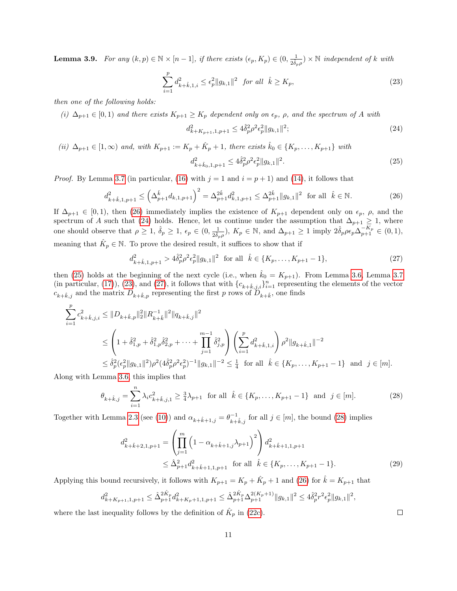<span id="page-10-6"></span>**Lemma 3.9.** For any  $(k, p) \in \mathbb{N} \times [n-1]$ , if there exists  $(\epsilon_p, K_p) \in (0, \frac{1}{2 \hat{\delta}_p \rho}) \times \mathbb{N}$  independent of k with

$$
\sum_{i=1}^{p} d_{k+\hat{k},1,i}^{2} \leq \epsilon_{p}^{2} \|g_{k,1}\|^{2} \text{ for all } \hat{k} \geq K_{p}, \qquad (23)
$$

then one of the following holds:

(i)  $\Delta_{p+1} \in [0,1]$  and there exists  $K_{p+1} \geq K_p$  dependent only on  $\epsilon_p$ ,  $\rho$ , and the spectrum of A with

<span id="page-10-4"></span><span id="page-10-3"></span><span id="page-10-2"></span><span id="page-10-1"></span><span id="page-10-0"></span>
$$
d_{k+K_{p+1},1,p+1}^2 \le 4\hat{\delta}_p^2 \rho^2 \epsilon_p^2 \|g_{k,1}\|^2; \tag{24}
$$

(ii) 
$$
\Delta_{p+1} \in [1, \infty)
$$
 and, with  $K_{p+1} := K_p + \hat{K}_p + 1$ , there exists  $\hat{k}_0 \in \{K_p, \ldots, K_{p+1}\}$  with  

$$
d_{k+\hat{k}_0,1,p+1}^2 \le 4\hat{\delta}_p^2 \rho^2 \epsilon_p^2 ||g_{k,1}||^2.
$$
 (25)

*Proof.* By Lemma [3.7](#page-8-4) (in particular, [\(16\)](#page-8-1) with  $j = 1$  and  $i = p + 1$ ) and [\(14\)](#page-7-4), it follows that

$$
d_{k+\hat{k},1,p+1}^2 \le \left(\Delta_{p+1}^{\hat{k}} d_{k,1,p+1}\right)^2 = \Delta_{p+1}^{2\hat{k}} d_{k,1,p+1}^2 \le \Delta_{p+1}^{2\hat{k}} \|g_{k,1}\|^2 \text{ for all } \hat{k} \in \mathbb{N}. \tag{26}
$$

If  $\Delta_{p+1} \in [0,1)$ , then [\(26\)](#page-10-0) immediately implies the existence of  $K_{p+1}$  dependent only on  $\epsilon_p$ ,  $\rho$ , and the spectrum of A such that [\(24\)](#page-10-1) holds. Hence, let us continue under the assumption that  $\Delta_{p+1} \geq 1$ , where one should observe that  $\rho \geq 1$ ,  $\delta_p \geq 1$ ,  $\epsilon_p \in (0, \frac{1}{2\hat{\delta}_p \rho}), K_p \in \mathbb{N}$ , and  $\Delta_{p+1} \geq 1$  imply  $2\hat{\delta}_p \rho \epsilon_p \Delta_{p+1}^{-K_p} \in (0, 1)$ , meaning that  $\hat{K}_p \in \mathbb{N}$ . To prove the desired result, it suffices to show that if

$$
d_{k+\hat{k},1,p+1}^2 > 4\hat{\delta}_p^2 \rho^2 \epsilon_p^2 \|g_{k,1}\|^2 \quad \text{for all} \quad \hat{k} \in \{K_p, \dots, K_{p+1} - 1\},\tag{27}
$$

then [\(25\)](#page-10-2) holds at the beginning of the next cycle (i.e., when  $\hat{k}_0 = K_{p+1}$ ). From Lemma [3.6,](#page-7-2) Lemma [3.7](#page-8-4) (in particular, [\(17\)](#page-8-2)), [\(23\)](#page-10-3), and [\(27\)](#page-10-4), it follows that with  ${c_{k+\hat{k},j,i}}_{i=1}^n$  representing the elements of the vector  $c_{k+\hat{k},j}$  and the matrix  $D_{k+\hat{k},p}$  representing the first p rows of  $\tilde{D}_{k+\hat{k}},$  one finds

$$
\sum_{i=1}^{p} c_{k+\hat{k},j,i}^{2} \leq \|D_{k+\hat{k},p}\|_{2}^{2} \|R_{k+\hat{k}}^{-1}\|^{2} \|q_{k+\hat{k},j}\|^{2}
$$
\n
$$
\leq \left(1+\hat{\delta}_{1,p}^{2}+\hat{\delta}_{1,p}^{2}\hat{\delta}_{2,p}^{2}+\cdots+\prod_{j=1}^{m-1} \hat{\delta}_{j,p}^{2}\right) \left(\sum_{i=1}^{p} d_{k+\hat{k},1,i}^{2}\right) \rho^{2} \|g_{k+\hat{k},1}\|^{-2}
$$
\n
$$
\leq \hat{\delta}_{p}^{2} (\epsilon_{p}^{2} \|g_{k,1}\|^{2}) \rho^{2} (4\hat{\delta}_{p}^{2} \rho^{2} \epsilon_{p}^{2})^{-1} \|g_{k,1}\|^{-2} \leq \frac{1}{4} \text{ for all } \hat{k} \in \{K_{p},\ldots,K_{p+1}-1\} \text{ and } j \in [m].
$$

Along with Lemma [3.6,](#page-7-2) this implies that

$$
\theta_{k+\hat{k},j} = \sum_{i=1}^{n} \lambda_i c_{k+\hat{k},j,1}^2 \ge \frac{3}{4} \lambda_{p+1} \text{ for all } \hat{k} \in \{K_p, \dots, K_{p+1}-1\} \text{ and } j \in [m].
$$
 (28)

Together with Lemma [2.3](#page-5-1) (see [\(10\)](#page-5-4)) and  $\alpha_{k+\hat{k}+1,j} = \theta_{k+\hat{k},j}^{-1}$  for all  $j \in [m]$ , the bound [\(28\)](#page-10-5) implies

<span id="page-10-5"></span>
$$
d_{k+\hat{k}+2,1,p+1}^2 = \left(\prod_{j=1}^m \left(1 - \alpha_{k+\hat{k}+1,j}\lambda_{p+1}\right)^2\right) d_{k+\hat{k}+1,1,p+1}^2
$$
  
 
$$
\leq \hat{\Delta}_{p+1}^2 d_{k+\hat{k}+1,1,p+1}^2 \quad \text{for all} \quad \hat{k} \in \{K_p,\dots,K_{p+1}-1\}.
$$
 (29)

Applying this bound recursively, it follows with  $K_{p+1} = K_p + \hat{K}_p + 1$  and [\(26\)](#page-10-0) for  $\hat{k} = K_{p+1}$  that

$$
d_{k+K_{p+1},1,p+1}^2 \leq \hat{\Delta}_{p+1}^{2\hat{K}_p} d_{k+K_p+1,1,p+1}^2 \leq \hat{\Delta}_{p+1}^{2\hat{K}_p} {\Delta}_{p+1}^{2(K_p+1)} \|g_{k,1}\|^2 \leq 4 \hat{\delta}_p^2 r^2 \epsilon_p^2 \|g_{k,1}\|^2,
$$

where the last inequality follows by the definition of  $\hat{K}_p$  in [\(22c\)](#page-9-3).

<span id="page-10-7"></span> $\Box$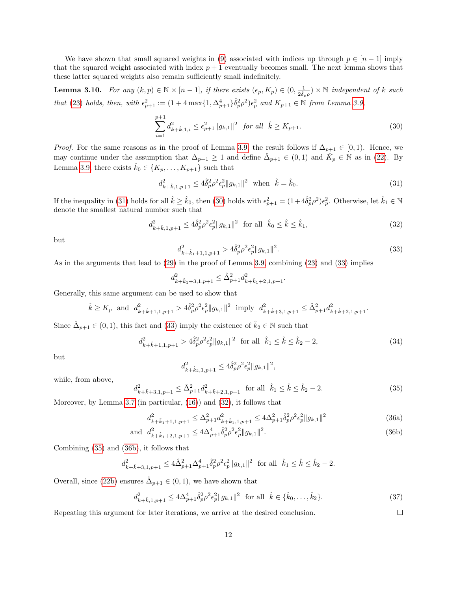We have shown that small squared weights in [\(9\)](#page-5-3) associated with indices up through  $p \in [n-1]$  imply that the squared weight associated with index  $p + 1$  eventually becomes small. The next lemma shows that these latter squared weights also remain sufficiently small indefinitely.

<span id="page-11-5"></span>**Lemma 3.10.** For any  $(k, p) \in \mathbb{N} \times [n-1]$ , if there exists  $(\epsilon_p, K_p) \in (0, \frac{1}{2\hat{\delta}_p \rho}) \times \mathbb{N}$  independent of k such that [\(23\)](#page-10-3) holds, then, with  $\epsilon_{p+1}^2 := (1 + 4 \max\{1, \Delta_{p+1}^4\} \hat{\delta}_p^2 \rho^2) \epsilon_p^2$  and  $K_{p+1} \in \mathbb{N}$  from Lemma [3.9,](#page-10-6)

<span id="page-11-1"></span>
$$
\sum_{i=1}^{p+1} d_{k+\hat{k},1,i}^2 \le \epsilon_{p+1}^2 \|g_{k,1}\|^2 \quad \text{for all} \quad \hat{k} \ge K_{p+1}.
$$
 (30)

*Proof.* For the same reasons as in the proof of Lemma [3.9,](#page-10-6) the result follows if  $\Delta_{p+1} \in [0,1)$ . Hence, we may continue under the assumption that  $\Delta_{p+1} \geq 1$  and define  $\hat{\Delta}_{p+1} \in (0,1)$  and  $\hat{K}_p \in \mathbb{N}$  as in [\(22\)](#page-9-4). By Lemma [3.9,](#page-10-6) there exists  $\hat{k}_0 \in \{K_p, \ldots, K_{p+1}\}\$  such that

<span id="page-11-0"></span>
$$
d_{k+\hat{k},1,p+1}^2 \le 4\hat{\delta}_p^2 \rho^2 \epsilon_p^2 \|g_{k,1}\|^2 \quad \text{when} \quad \hat{k} = \hat{k}_0. \tag{31}
$$

If the inequality in [\(31\)](#page-11-0) holds for all  $\hat{k} \geq \hat{k}_0$ , then [\(30\)](#page-11-1) holds with  $\epsilon_{p+1}^2 = (1+4\hat{\delta}_p^2\rho^2)\epsilon_p^2$ . Otherwise, let  $\hat{k}_1 \in \mathbb{N}$ denote the smallest natural number such that

$$
d_{k+\hat{k},1,p+1}^2 \le 4\hat{\delta}_p^2 \rho^2 \epsilon_p^2 \|g_{k,1}\|^2 \quad \text{for all} \quad \hat{k}_0 \le \hat{k} \le \hat{k}_1,\tag{32}
$$

<span id="page-11-2"></span>but

<span id="page-11-3"></span>
$$
d_{k+\hat{k}_1+1,1,p+1}^2 > 4\hat{\delta}_p^2 \rho^2 \epsilon_p^2 \|g_{k,1}\|^2. \tag{33}
$$

As in the arguments that lead to [\(29\)](#page-10-7) in the proof of Lemma [3.9,](#page-10-6) combining [\(23\)](#page-10-3) and [\(33\)](#page-11-2) implies

$$
d_{k+\hat{k}_1+3,1,p+1}^2 \leq \hat{\Delta}_{p+1}^2 d_{k+\hat{k}_1+2,1,p+1}^2.
$$

Generally, this same argument can be used to show that

<span id="page-11-4"></span> $d^2_{\iota}$ 

$$
\hat{k} \ge K_p \text{ and } d_{k+\hat{k}+1,1,p+1}^2 > 4\hat{\delta}_p^2 \rho^2 \epsilon_p^2 \|g_{k,1}\|^2 \text{ imply } d_{k+\hat{k}+3,1,p+1}^2 \le \hat{\Delta}_{p+1}^2 d_{k+\hat{k}+2,1,p+1}^2.
$$

Since  $\hat{\Delta}_{p+1} \in (0,1)$ , this fact and [\(33\)](#page-11-2) imply the existence of  $\hat{k}_2 \in \mathbb{N}$  such that

$$
d_{k+\hat{k}+1,1,p+1}^2 > 4\hat{\delta}_p^2 \rho^2 \epsilon_p^2 \|g_{k,1}\|^2 \quad \text{for all} \quad \hat{k}_1 \le \hat{k} \le \hat{k}_2 - 2,\tag{34}
$$

but

$$
d_{k+\hat{k}_2,1,p+1}^2 \le 4\hat{\delta}_p^2 \rho^2 \epsilon_p^2 \|g_{k,1}\|^2,
$$

while, from above,

$$
{}_{k+\hat{k}+3,1,p+1}^{2} \leq \hat{\Delta}_{p+1}^{2} d_{k+\hat{k}+2,1,p+1}^{2} \text{ for all } \hat{k}_{1} \leq \hat{k} \leq \hat{k}_{2} - 2.
$$
 (35)

Moreover, by Lemma [3.7](#page-8-4) (in particular, [\(16\)](#page-8-1)) and [\(32\)](#page-11-3), it follows that

$$
d_{k+\hat{k}_1+1,1,p+1}^2 \le \Delta_{p+1}^2 d_{k+\hat{k}_1,1,p+1}^2 \le 4\Delta_{p+1}^2 \hat{\delta}_p^2 \rho^2 \epsilon_p^2 \|g_{k,1}\|^2 \tag{36a}
$$

and 
$$
d_{k+\hat{k}_1+2,1,p+1}^2 \le 4\Delta_{p+1}^4 \hat{\delta}_p^2 \rho^2 \epsilon_p^2 \|g_{k,1}\|^2
$$
. (36b)

Combining [\(35\)](#page-11-4) and [\(36b\)](#page-6-3), it follows that

$$
d_{k+\hat{k}+3,1,p+1}^2 \le 4\hat{\Delta}_{p+1}^2\Delta_{p+1}^4\hat{\delta}_p^2\rho^2\epsilon_p^2\|g_{k,1}\|^2 \text{ for all } \hat{k}_1 \le \hat{k} \le \hat{k}_2 - 2.
$$

Overall, since [\(22b\)](#page-6-3) ensures  $\hat{\Delta}_{p+1} \in (0,1)$ , we have shown that

$$
d_{k+\hat{k},1,p+1}^2 \le 4\Delta_{p+1}^4 \hat{\delta}_p^2 \rho^2 \epsilon_p^2 \|g_{k,1}\|^2 \quad \text{for all} \quad \hat{k} \in \{\hat{k}_0, \dots, \hat{k}_2\}. \tag{37}
$$

 $\Box$ 

Repeating this argument for later iterations, we arrive at the desired conclusion.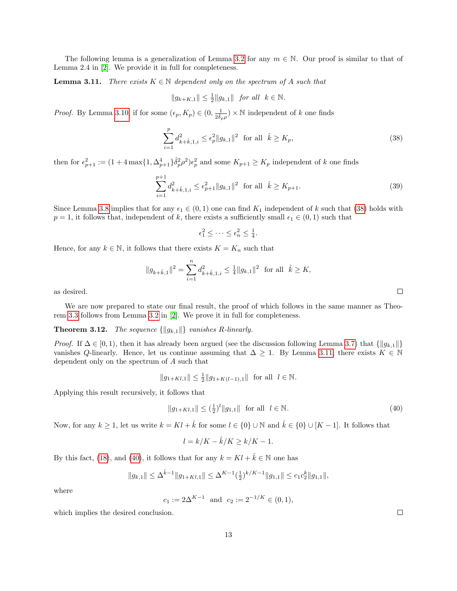The following lemma is a generalization of Lemma [3.2](#page-6-2) for any  $m \in \mathbb{N}$ . Our proof is similar to that of Lemma 2.4 in [\[2\]](#page-17-2). We provide it in full for completeness.

<span id="page-12-1"></span>**Lemma 3.11.** There exists  $K \in \mathbb{N}$  dependent only on the spectrum of A such that

<span id="page-12-0"></span>
$$
||g_{k+K,1}|| \leq \frac{1}{2}||g_{k,1}||
$$
 for all  $k \in \mathbb{N}$ .

*Proof.* By Lemma [3.10,](#page-11-5) if for some  $(\epsilon_p, K_p) \in (0, \frac{1}{2\hat{\delta}_p \rho}) \times \mathbb{N}$  independent of k one finds

$$
\sum_{i=1}^{p} d_{k+\hat{k},1,i}^{2} \leq \epsilon_{p}^{2} \|g_{k,1}\|^{2} \text{ for all } \hat{k} \geq K_{p},
$$
\n(38)

then for  $\epsilon_{p+1}^2 := (1 + 4 \max\{1, \Delta_{p+1}^4\} \hat{\delta}_p^2 \rho^2) \epsilon_p^2$  and some  $K_{p+1} \ge K_p$  independent of k one finds

$$
\sum_{i=1}^{p+1} d_{k+\hat{k},1,i}^2 \le \epsilon_{p+1}^2 \|g_{k,1}\|^2 \quad \text{for all} \quad \hat{k} \ge K_{p+1}.
$$
 (39)

Since Lemma [3.8](#page-9-2) implies that for any  $\epsilon_1 \in (0,1)$  one can find  $K_1$  independent of k such that [\(38\)](#page-12-0) holds with  $p = 1$ , it follows that, independent of k, there exists a sufficiently small  $\epsilon_1 \in (0, 1)$  such that

$$
\epsilon_1^2 \leq \cdots \leq \epsilon_n^2 \leq \frac{1}{4}.
$$

Hence, for any  $k \in \mathbb{N}$ , it follows that there exists  $K = K_n$  such that

$$
||g_{k+\hat{k},1}||^2 = \sum_{i=1}^n d_{k+\hat{k},1,i}^2 \le \frac{1}{4} ||g_{k,1}||^2 \text{ for all } \hat{k} \ge K,
$$

as desired.

We are now prepared to state our final result, the proof of which follows in the same manner as Theorem [3.3](#page-6-4) follows from Lemma [3.2](#page-6-2) in [\[2\]](#page-17-2). We prove it in full for completeness.

#### **Theorem 3.12.** The sequence  $\{\|g_{k,1}\|\}$  vanishes R-linearly.

*Proof.* If  $\Delta \in [0, 1)$ , then it has already been argued (see the discussion following Lemma [3.7\)](#page-8-4) that  $\{||g_{k,1}||\}$ vanishes Q-linearly. Hence, let us continue assuming that  $\Delta \geq 1$ . By Lemma [3.11,](#page-12-1) there exists  $K \in \mathbb{N}$ dependent only on the spectrum of A such that

$$
||g_{1+Kl,1}|| \leq \frac{1}{2} ||g_{1+K(l-1),1}||
$$
 for all  $l \in \mathbb{N}$ .

Applying this result recursively, it follows that

<span id="page-12-2"></span>
$$
||g_{1+Kl,1}|| \le (\frac{1}{2})^l ||g_{1,1}|| \text{ for all } l \in \mathbb{N}.
$$
 (40)

Now, for any  $k \ge 1$ , let us write  $k = Kl + \hat{k}$  for some  $l \in \{0\} \cup \mathbb{N}$  and  $\hat{k} \in \{0\} \cup [K-1]$ . It follows that

$$
l = k/K - \hat{k}/K \ge k/K - 1.
$$

By this fact, [\(18\)](#page-8-3), and [\(40\)](#page-12-2), it follows that for any  $k = Kl + \hat{k} \in \mathbb{N}$  one has

$$
||g_{k,1}|| \leq \Delta^{\hat{k}-1} ||g_{1+Kl,1}|| \leq \Delta^{K-1}(\frac{1}{2})^{k/K-1} ||g_{1,1}|| \leq c_1 c_2^k ||g_{1,1}||,
$$

where

$$
c_1 := 2\Delta^{K-1}
$$
 and  $c_2 := 2^{-1/K} \in (0,1)$ ,

which implies the desired conclusion.

 $\Box$ 

 $\Box$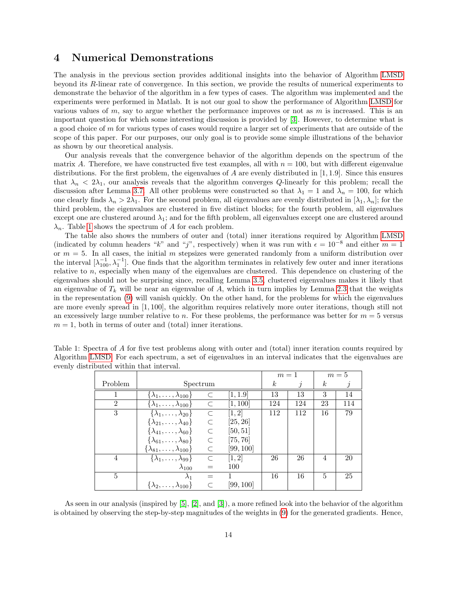## <span id="page-13-0"></span>4 Numerical Demonstrations

The analysis in the previous section provides additional insights into the behavior of Algorithm [LMSD](#page-4-0) beyond its R-linear rate of convergence. In this section, we provide the results of numerical experiments to demonstrate the behavior of the algorithm in a few types of cases. The algorithm was implemented and the experiments were performed in Matlab. It is not our goal to show the performance of Algorithm [LMSD](#page-4-0) for various values of  $m$ , say to argue whether the performance improves or not as  $m$  is increased. This is an important question for which some interesting discussion is provided by [\[3\]](#page-17-3). However, to determine what is a good choice of  $m$  for various types of cases would require a larger set of experiments that are outside of the scope of this paper. For our purposes, our only goal is to provide some simple illustrations of the behavior as shown by our theoretical analysis.

Our analysis reveals that the convergence behavior of the algorithm depends on the spectrum of the matrix A. Therefore, we have constructed five test examples, all with  $n = 100$ , but with different eigenvalue distributions. For the first problem, the eigenvalues of A are evenly distributed in  $[1, 1.9]$ . Since this ensures that  $\lambda_n < 2\lambda_1$ , our analysis reveals that the algorithm converges Q-linearly for this problem; recall the discussion after Lemma [3.7.](#page-8-4) All other problems were constructed so that  $\lambda_1 = 1$  and  $\lambda_n = 100$ , for which one clearly finds  $\lambda_n > 2\lambda_1$ . For the second problem, all eigenvalues are evenly distributed in  $[\lambda_1, \lambda_n]$ ; for the third problem, the eigenvalues are clustered in five distinct blocks; for the fourth problem, all eigenvalues except one are clustered around  $\lambda_1$ ; and for the fifth problem, all eigenvalues except one are clustered around  $\lambda_n$ . Table [1](#page-13-1) shows the spectrum of A for each problem.

The table also shows the numbers of outer and (total) inner iterations required by Algorithm [LMSD](#page-4-0) (indicated by column headers "k" and "j", respectively) when it was run with  $\epsilon = 10^{-8}$  and either  $m = 1$ or  $m = 5$ . In all cases, the initial m stepsizes were generated randomly from a uniform distribution over the interval  $[\lambda_{100}^{-1}, \lambda_1^{-1}]$ . One finds that the algorithm terminates in relatively few outer and inner iterations relative to n, especially when many of the eigenvalues are clustered. This dependence on clustering of the eigenvalues should not be surprising since, recalling Lemma [3.5,](#page-7-3) clustered eigenvalues makes it likely that an eigenvalue of  $T_k$  will be near an eigenvalue of A, which in turn implies by Lemma [2.3](#page-5-1) that the weights in the representation [\(9\)](#page-5-3) will vanish quickly. On the other hand, for the problems for which the eigenvalues are more evenly spread in [1, 100], the algorithm requires relatively more outer iterations, though still not an excessively large number relative to n. For these problems, the performance was better for  $m = 5$  versus  $m = 1$ , both in terms of outer and (total) inner iterations.

|                |                                          |           | $m=1$     |                | $m=5$ |                |     |
|----------------|------------------------------------------|-----------|-----------|----------------|-------|----------------|-----|
| Problem        | Spectrum                                 |           |           | k <sub>i</sub> |       | k.             |     |
|                | $\{\lambda_1,\ldots,\lambda_{100}\}$     | $\subset$ | [1, 1.9]  | 13             | 13    | 3              | 14  |
| $\mathfrak{D}$ | $\{\lambda_1,\ldots,\lambda_{100}\}$     |           | [1, 100]  | 124            | 124   | 23             | 114 |
| 3              | $\{\lambda_1,\ldots,\lambda_{20}\}$      | C         | [1,2]     | 112            | 112   | 16             | 79  |
|                | $\{\lambda_{21},\ldots,\lambda_{40}\}\$  | $\subset$ | [25, 26]  |                |       |                |     |
|                | $\{\lambda_{41}, \ldots, \lambda_{60}\}$ | $\subset$ | [50, 51]  |                |       |                |     |
|                | $\{\lambda_{61}, \ldots, \lambda_{80}\}$ | $\subset$ | [75, 76]  |                |       |                |     |
|                | $\{\lambda_{81},\ldots,\lambda_{100}\}$  | C         | [99, 100] |                |       |                |     |
| $\overline{4}$ | $\{\lambda_1,\ldots,\lambda_{99}\}\$     | $\subset$ | [1, 2]    | 26             | 26    | $\overline{4}$ | 20  |
|                | $\lambda_{100}$                          |           | 100       |                |       |                |     |
| 5              | $\lambda_1$                              |           |           | 16             | 16    | 5              | 25  |
|                | $\{\lambda_2,\ldots,\lambda_{100}\}\$    |           | [99, 100] |                |       |                |     |

<span id="page-13-1"></span>Table 1: Spectra of A for five test problems along with outer and (total) inner iteration counts required by Algorithm [LMSD.](#page-4-0) For each spectrum, a set of eigenvalues in an interval indicates that the eigenvalues are evenly distributed within that interval.

As seen in our analysis (inspired by [\[5\]](#page-17-1), [\[2\]](#page-17-2), and [\[3\]](#page-17-3)), a more refined look into the behavior of the algorithm is obtained by observing the step-by-step magnitudes of the weights in [\(9\)](#page-5-3) for the generated gradients. Hence,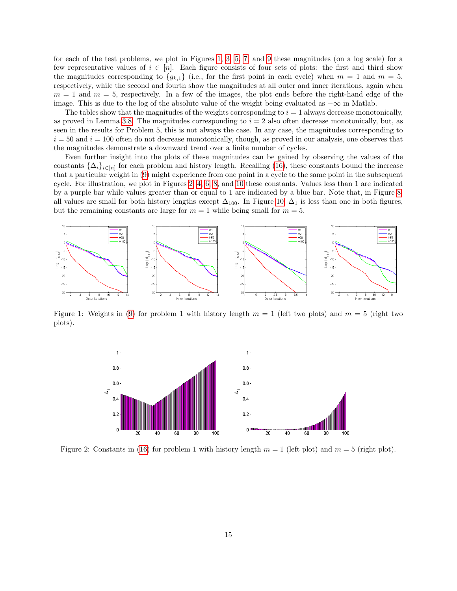for each of the test problems, we plot in Figures [1,](#page-14-0) [3,](#page-15-0) [5,](#page-15-1) [7,](#page-16-0) and [9](#page-17-6) these magnitudes (on a log scale) for a few representative values of  $i \in [n]$ . Each figure consists of four sets of plots: the first and third show the magnitudes corresponding to  ${g_{k,1}}$  (i.e., for the first point in each cycle) when  $m = 1$  and  $m = 5$ , respectively, while the second and fourth show the magnitudes at all outer and inner iterations, again when  $m = 1$  and  $m = 5$ , respectively. In a few of the images, the plot ends before the right-hand edge of the image. This is due to the log of the absolute value of the weight being evaluated as  $-\infty$  in Matlab.

The tables show that the magnitudes of the weights corresponding to  $i = 1$  always decrease monotonically, as proved in Lemma [3.8.](#page-9-2) The magnitudes corresponding to  $i = 2$  also often decrease monotonically, but, as seen in the results for Problem 5, this is not always the case. In any case, the magnitudes corresponding to  $i = 50$  and  $i = 100$  often do not decrease monotonically, though, as proved in our analysis, one observes that the magnitudes demonstrate a downward trend over a finite number of cycles.

Even further insight into the plots of these magnitudes can be gained by observing the values of the constants  $\{\Delta_i\}_{i\in[n]}$  for each problem and history length. Recalling [\(16\)](#page-8-1), these constants bound the increase that a particular weight in [\(9\)](#page-5-3) might experience from one point in a cycle to the same point in the subsequent cycle. For illustration, we plot in Figures [2,](#page-14-1) [4,](#page-15-2) [6,](#page-16-1) [8,](#page-16-2) and [10](#page-17-7) these constants. Values less than 1 are indicated by a purple bar while values greater than or equal to 1 are indicated by a blue bar. Note that, in Figure [8,](#page-16-2) all values are small for both history lengths except  $\Delta_{100}$ . In Figure [10,](#page-17-7)  $\Delta_1$  is less than one in both figures, but the remaining constants are large for  $m = 1$  while being small for  $m = 5$ .



Figure 1: Weights in [\(9\)](#page-5-3) for problem 1 with history length  $m = 1$  (left two plots) and  $m = 5$  (right two plots).

<span id="page-14-1"></span><span id="page-14-0"></span>

Figure 2: Constants in [\(16\)](#page-8-1) for problem 1 with history length  $m = 1$  (left plot) and  $m = 5$  (right plot).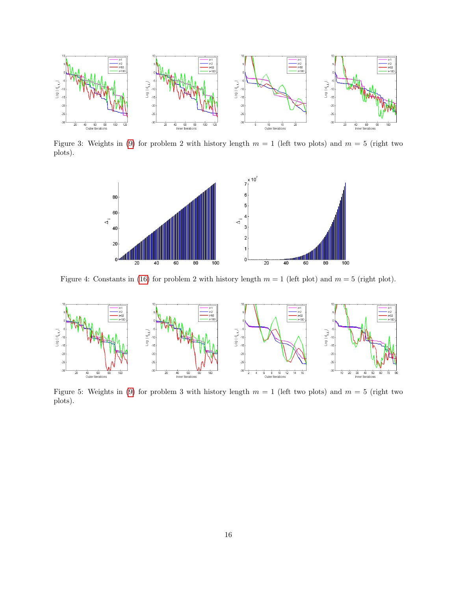

Figure 3: Weights in [\(9\)](#page-5-3) for problem 2 with history length  $m = 1$  (left two plots) and  $m = 5$  (right two plots).

<span id="page-15-2"></span><span id="page-15-0"></span>

Figure 4: Constants in [\(16\)](#page-8-1) for problem 2 with history length  $m = 1$  (left plot) and  $m = 5$  (right plot).



<span id="page-15-1"></span>Figure 5: Weights in [\(9\)](#page-5-3) for problem 3 with history length  $m = 1$  (left two plots) and  $m = 5$  (right two plots).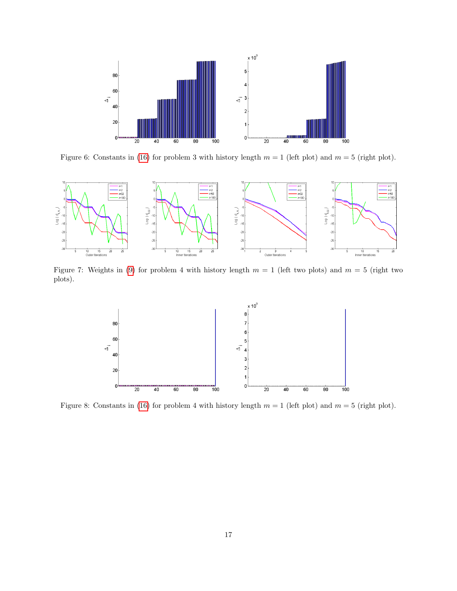<span id="page-16-1"></span>

Figure 6: Constants in [\(16\)](#page-8-1) for problem 3 with history length  $m = 1$  (left plot) and  $m = 5$  (right plot).



Figure 7: Weights in [\(9\)](#page-5-3) for problem 4 with history length  $m = 1$  (left two plots) and  $m = 5$  (right two plots).

<span id="page-16-2"></span><span id="page-16-0"></span>

Figure 8: Constants in [\(16\)](#page-8-1) for problem 4 with history length  $m = 1$  (left plot) and  $m = 5$  (right plot).